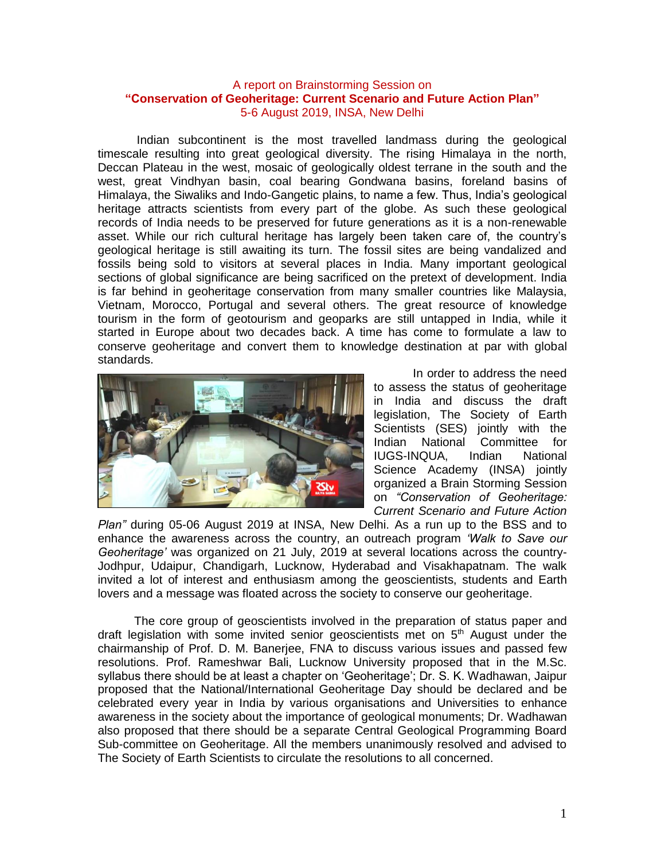## A report on Brainstorming Session on **"Conservation of Geoheritage: Current Scenario and Future Action Plan"** 5-6 August 2019, INSA, New Delhi

Indian subcontinent is the most travelled landmass during the geological timescale resulting into great geological diversity. The rising Himalaya in the north, Deccan Plateau in the west, mosaic of geologically oldest terrane in the south and the west, great Vindhyan basin, coal bearing Gondwana basins, foreland basins of Himalaya, the Siwaliks and Indo-Gangetic plains, to name a few. Thus, India's geological heritage attracts scientists from every part of the globe. As such these geological records of India needs to be preserved for future generations as it is a non-renewable asset. While our rich cultural heritage has largely been taken care of, the country's geological heritage is still awaiting its turn. The fossil sites are being vandalized and fossils being sold to visitors at several places in India. Many important geological sections of global significance are being sacrificed on the pretext of development. India is far behind in geoheritage conservation from many smaller countries like Malaysia, Vietnam, [Morocco,](http://www.unesco.org/new/en/natural-sciences/environment/earth-sciences/unesco-global-geoparks/list-of-unesco-global-geoparks/morocco/) [Portugal](http://www.unesco.org/new/en/natural-sciences/environment/earth-sciences/unesco-global-geoparks/list-of-unesco-global-geoparks/portugal/) and several others. The great resource of knowledge tourism in the form of geotourism and geoparks are still untapped in India, while it started in Europe about two decades back. A time has come to formulate a law to conserve geoheritage and convert them to knowledge destination at par with global standards.



In order to address the need to assess the status of geoheritage in India and discuss the draft legislation, The Society of Earth Scientists (SES) jointly with the Indian National Committee for IUGS-INQUA, Indian National Science Academy (INSA) jointly organized a Brain Storming Session on *"Conservation of Geoheritage: Current Scenario and Future Action* 

*Plan"* during 05-06 August 2019 at INSA, New Delhi. As a run up to the BSS and to enhance the awareness across the country, an outreach program *'Walk to Save our Geoheritage'* was organized on 21 July, 2019 at several locations across the country-Jodhpur, Udaipur, Chandigarh, Lucknow, Hyderabad and Visakhapatnam. The walk invited a lot of interest and enthusiasm among the geoscientists, students and Earth lovers and a message was floated across the society to conserve our geoheritage.

 The core group of geoscientists involved in the preparation of status paper and draft legislation with some invited senior geoscientists met on  $5<sup>th</sup>$  August under the chairmanship of Prof. D. M. Banerjee, FNA to discuss various issues and passed few resolutions. Prof. Rameshwar Bali, Lucknow University proposed that in the M.Sc. syllabus there should be at least a chapter on 'Geoheritage'; Dr. S. K. Wadhawan, Jaipur proposed that the National/International Geoheritage Day should be declared and be celebrated every year in India by various organisations and Universities to enhance awareness in the society about the importance of geological monuments; Dr. Wadhawan also proposed that there should be a separate Central Geological Programming Board Sub-committee on Geoheritage. All the members unanimously resolved and advised to The Society of Earth Scientists to circulate the resolutions to all concerned.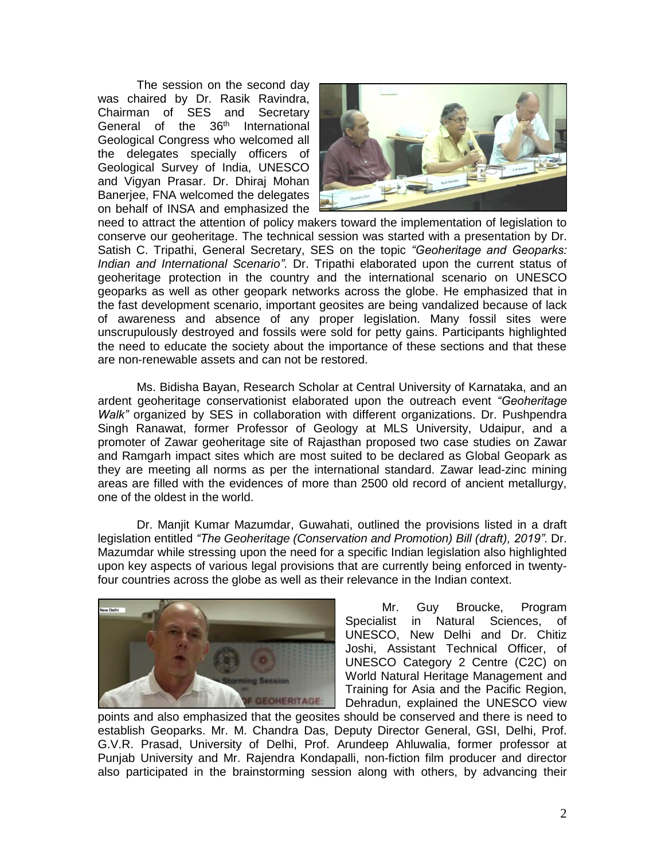The session on the second day was chaired by Dr. Rasik Ravindra, Chairman of SES and Secretary General of the 36<sup>th</sup> International Geological Congress who welcomed all the delegates specially officers of Geological Survey of India, UNESCO and Vigyan Prasar. Dr. Dhiraj Mohan Banerjee, FNA welcomed the delegates on behalf of INSA and emphasized the



need to attract the attention of policy makers toward the implementation of legislation to conserve our geoheritage. The technical session was started with a presentation by Dr. Satish C. Tripathi, General Secretary, SES on the topic *"Geoheritage and Geoparks: Indian and International Scenario"*. Dr. Tripathi elaborated upon the current status of geoheritage protection in the country and the international scenario on UNESCO geoparks as well as other geopark networks across the globe. He emphasized that in the fast development scenario, important geosites are being vandalized because of lack of awareness and absence of any proper legislation. Many fossil sites were unscrupulously destroyed and fossils were sold for petty gains. Participants highlighted the need to educate the society about the importance of these sections and that these are non-renewable assets and can not be restored.

Ms. Bidisha Bayan, Research Scholar at Central University of Karnataka, and an ardent geoheritage conservationist elaborated upon the outreach event *"Geoheritage Walk"* organized by SES in collaboration with different organizations. Dr. Pushpendra Singh Ranawat, former Professor of Geology at MLS University, Udaipur, and a promoter of Zawar geoheritage site of Rajasthan proposed two case studies on Zawar and Ramgarh impact sites which are most suited to be declared as Global Geopark as they are meeting all norms as per the international standard. Zawar lead-zinc mining areas are filled with the evidences of more than 2500 old record of ancient metallurgy, one of the oldest in the world.

Dr. Manjit Kumar Mazumdar, Guwahati, outlined the provisions listed in a draft legislation entitled *"The Geoheritage (Conservation and Promotion) Bill (draft), 2019"*. Dr. Mazumdar while stressing upon the need for a specific Indian legislation also highlighted upon key aspects of various legal provisions that are currently being enforced in twentyfour countries across the globe as well as their relevance in the Indian context.



 Mr. Guy Broucke, Program Specialist in Natural Sciences, of UNESCO, New Delhi and Dr. Chitiz Joshi, Assistant Technical Officer, of UNESCO Category 2 Centre (C2C) on World Natural Heritage Management and Training for Asia and the Pacific Region, Dehradun, explained the UNESCO view

points and also emphasized that the geosites should be conserved and there is need to establish Geoparks. Mr. M. Chandra Das, Deputy Director General, GSI, Delhi, Prof. G.V.R. Prasad, University of Delhi, Prof. Arundeep Ahluwalia, former professor at Punjab University and Mr. Rajendra Kondapalli, non-fiction film producer and director also participated in the brainstorming session along with others, by advancing their